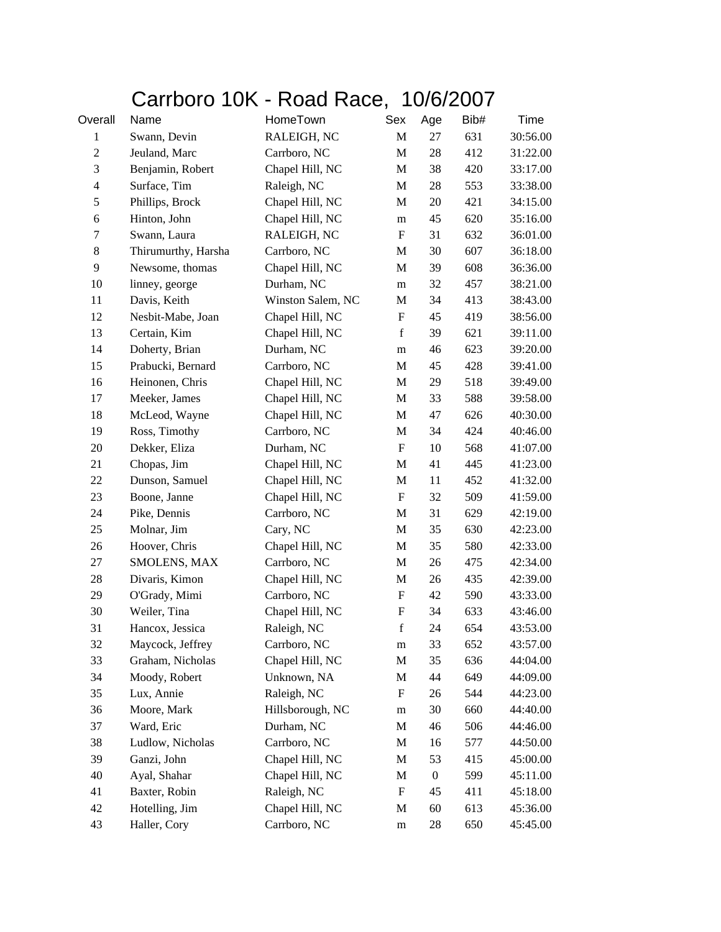## Carrboro 10K - Road Race, 10/6/2007

| Overall        | Name                | HomeTown          | Sex                       | Age              | Bib# | Time     |
|----------------|---------------------|-------------------|---------------------------|------------------|------|----------|
| $\mathbf{1}$   | Swann, Devin        | RALEIGH, NC       | M                         | 27               | 631  | 30:56.00 |
| $\mathbf{2}$   | Jeuland, Marc       | Carrboro, NC      | M                         | 28               | 412  | 31:22.00 |
| 3              | Benjamin, Robert    | Chapel Hill, NC   | M                         | 38               | 420  | 33:17.00 |
| $\overline{4}$ | Surface, Tim        | Raleigh, NC       | M                         | 28               | 553  | 33:38.00 |
| 5              | Phillips, Brock     | Chapel Hill, NC   | $\mathbf M$               | 20               | 421  | 34:15.00 |
| 6              | Hinton, John        | Chapel Hill, NC   | m                         | 45               | 620  | 35:16.00 |
| 7              | Swann, Laura        | RALEIGH, NC       | $\mathbf F$               | 31               | 632  | 36:01.00 |
| $8\,$          | Thirumurthy, Harsha | Carrboro, NC      | M                         | 30               | 607  | 36:18.00 |
| 9              | Newsome, thomas     | Chapel Hill, NC   | M                         | 39               | 608  | 36:36.00 |
| 10             | linney, george      | Durham, NC        | m                         | 32               | 457  | 38:21.00 |
| 11             | Davis, Keith        | Winston Salem, NC | $\mathbf M$               | 34               | 413  | 38:43.00 |
| 12             | Nesbit-Mabe, Joan   | Chapel Hill, NC   | $\mathbf F$               | 45               | 419  | 38:56.00 |
| 13             | Certain, Kim        | Chapel Hill, NC   | $\mathbf f$               | 39               | 621  | 39:11.00 |
| 14             | Doherty, Brian      | Durham, NC        | m                         | 46               | 623  | 39:20.00 |
| 15             | Prabucki, Bernard   | Carrboro, NC      | M                         | 45               | 428  | 39:41.00 |
| 16             | Heinonen, Chris     | Chapel Hill, NC   | M                         | 29               | 518  | 39:49.00 |
| 17             | Meeker, James       | Chapel Hill, NC   | M                         | 33               | 588  | 39:58.00 |
| 18             | McLeod, Wayne       | Chapel Hill, NC   | M                         | 47               | 626  | 40:30.00 |
| 19             | Ross, Timothy       | Carrboro, NC      | M                         | 34               | 424  | 40:46.00 |
| $20\,$         | Dekker, Eliza       | Durham, NC        | $\boldsymbol{\mathrm{F}}$ | 10               | 568  | 41:07.00 |
| 21             | Chopas, Jim         | Chapel Hill, NC   | M                         | 41               | 445  | 41:23.00 |
| 22             | Dunson, Samuel      | Chapel Hill, NC   | $\mathbf M$               | 11               | 452  | 41:32.00 |
| 23             | Boone, Janne        | Chapel Hill, NC   | F                         | 32               | 509  | 41:59.00 |
| 24             | Pike, Dennis        | Carrboro, NC      | M                         | 31               | 629  | 42:19.00 |
| 25             | Molnar, Jim         | Cary, NC          | M                         | 35               | 630  | 42:23.00 |
| 26             | Hoover, Chris       | Chapel Hill, NC   | M                         | 35               | 580  | 42:33.00 |
| 27             | SMOLENS, MAX        | Carrboro, NC      | M                         | 26               | 475  | 42:34.00 |
| 28             | Divaris, Kimon      | Chapel Hill, NC   | M                         | 26               | 435  | 42:39.00 |
| 29             | O'Grady, Mimi       | Carrboro, NC      | $\mathbf F$               | 42               | 590  | 43:33.00 |
| 30             | Weiler, Tina        | Chapel Hill, NC   | $\boldsymbol{\mathrm{F}}$ | 34               | 633  | 43:46.00 |
| 31             | Hancox, Jessica     | Raleigh, NC       | $\mathbf f$               | 24               | 654  | 43:53.00 |
| 32             | Maycock, Jeffrey    | Carrboro, NC      | m                         | 33               | 652  | 43:57.00 |
| 33             | Graham, Nicholas    | Chapel Hill, NC   | $\mathbf M$               | 35               | 636  | 44:04.00 |
| 34             | Moody, Robert       | Unknown, NA       | M                         | 44               | 649  | 44:09.00 |
| 35             | Lux, Annie          | Raleigh, NC       | F                         | 26               | 544  | 44:23.00 |
| 36             | Moore, Mark         | Hillsborough, NC  | m                         | 30               | 660  | 44:40.00 |
| 37             | Ward, Eric          | Durham, NC        | M                         | 46               | 506  | 44:46.00 |
| 38             | Ludlow, Nicholas    | Carrboro, NC      | M                         | 16               | 577  | 44:50.00 |
| 39             | Ganzi, John         | Chapel Hill, NC   | M                         | 53               | 415  | 45:00.00 |
| 40             | Ayal, Shahar        | Chapel Hill, NC   | M                         | $\boldsymbol{0}$ | 599  | 45:11.00 |
| 41             | Baxter, Robin       | Raleigh, NC       | F                         | 45               | 411  | 45:18.00 |
| 42             | Hotelling, Jim      | Chapel Hill, NC   | M                         | 60               | 613  | 45:36.00 |
| 43             | Haller, Cory        | Carrboro, NC      | ${\rm m}$                 | 28               | 650  | 45:45.00 |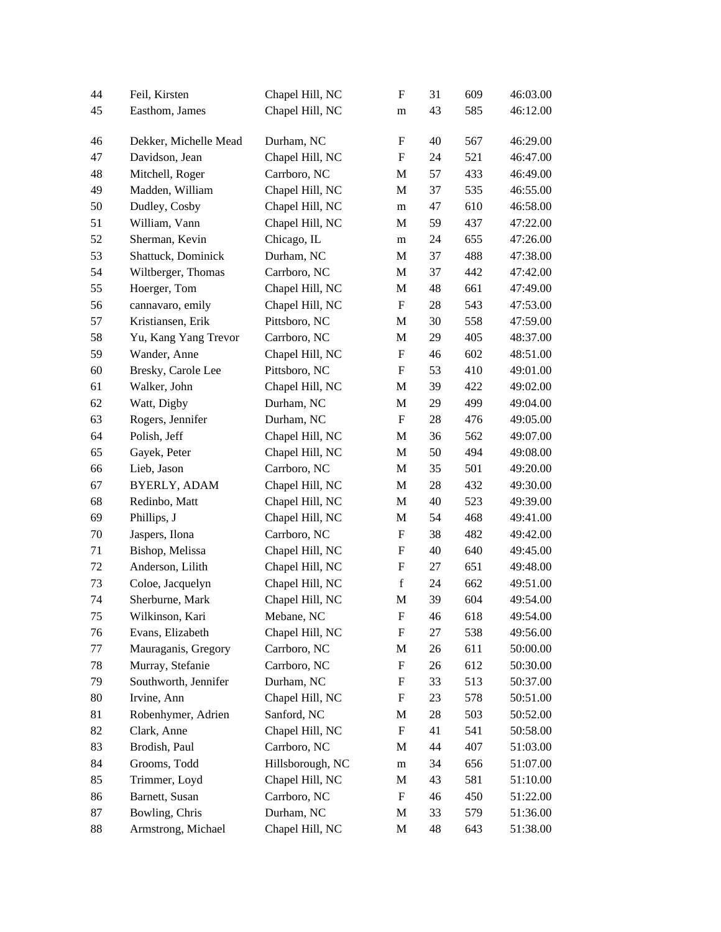| 44 | Feil, Kirsten         | Chapel Hill, NC  | F                         | 31 | 609 | 46:03.00 |
|----|-----------------------|------------------|---------------------------|----|-----|----------|
| 45 | Easthom, James        | Chapel Hill, NC  | m                         | 43 | 585 | 46:12.00 |
|    |                       |                  |                           |    |     |          |
| 46 | Dekker, Michelle Mead | Durham, NC       | F                         | 40 | 567 | 46:29.00 |
| 47 | Davidson, Jean        | Chapel Hill, NC  | $\boldsymbol{\mathrm{F}}$ | 24 | 521 | 46:47.00 |
| 48 | Mitchell, Roger       | Carrboro, NC     | M                         | 57 | 433 | 46:49.00 |
| 49 | Madden, William       | Chapel Hill, NC  | M                         | 37 | 535 | 46:55.00 |
| 50 | Dudley, Cosby         | Chapel Hill, NC  | m                         | 47 | 610 | 46:58.00 |
| 51 | William, Vann         | Chapel Hill, NC  | M                         | 59 | 437 | 47:22.00 |
| 52 | Sherman, Kevin        | Chicago, IL      | m                         | 24 | 655 | 47:26.00 |
| 53 | Shattuck, Dominick    | Durham, NC       | M                         | 37 | 488 | 47:38.00 |
| 54 | Wiltberger, Thomas    | Carrboro, NC     | M                         | 37 | 442 | 47:42.00 |
| 55 | Hoerger, Tom          | Chapel Hill, NC  | M                         | 48 | 661 | 47:49.00 |
| 56 | cannavaro, emily      | Chapel Hill, NC  | $\boldsymbol{\mathrm{F}}$ | 28 | 543 | 47:53.00 |
| 57 | Kristiansen, Erik     | Pittsboro, NC    | M                         | 30 | 558 | 47:59.00 |
| 58 | Yu, Kang Yang Trevor  | Carrboro, NC     | M                         | 29 | 405 | 48:37.00 |
| 59 | Wander, Anne          | Chapel Hill, NC  | $\boldsymbol{\mathrm{F}}$ | 46 | 602 | 48:51.00 |
| 60 | Bresky, Carole Lee    | Pittsboro, NC    | $\boldsymbol{\mathrm{F}}$ | 53 | 410 | 49:01.00 |
| 61 | Walker, John          | Chapel Hill, NC  | M                         | 39 | 422 | 49:02.00 |
| 62 | Watt, Digby           | Durham, NC       | M                         | 29 | 499 | 49:04.00 |
| 63 | Rogers, Jennifer      | Durham, NC       | F                         | 28 | 476 | 49:05.00 |
| 64 | Polish, Jeff          | Chapel Hill, NC  | M                         | 36 | 562 | 49:07.00 |
| 65 | Gayek, Peter          | Chapel Hill, NC  | M                         | 50 | 494 | 49:08.00 |
| 66 | Lieb, Jason           | Carrboro, NC     | M                         | 35 | 501 | 49:20.00 |
| 67 | <b>BYERLY, ADAM</b>   | Chapel Hill, NC  | M                         | 28 | 432 | 49:30.00 |
| 68 | Redinbo, Matt         | Chapel Hill, NC  | M                         | 40 | 523 | 49:39.00 |
| 69 | Phillips, J           | Chapel Hill, NC  | M                         | 54 | 468 | 49:41.00 |
| 70 | Jaspers, Ilona        | Carrboro, NC     | F                         | 38 | 482 | 49:42.00 |
| 71 | Bishop, Melissa       | Chapel Hill, NC  | F                         | 40 | 640 | 49:45.00 |
| 72 | Anderson, Lilith      | Chapel Hill, NC  | $\mathbf F$               | 27 | 651 | 49:48.00 |
| 73 | Coloe, Jacquelyn      | Chapel Hill, NC  | $\mathbf f$               | 24 | 662 | 49:51.00 |
| 74 | Sherburne, Mark       | Chapel Hill, NC  | M                         | 39 | 604 | 49:54.00 |
| 75 | Wilkinson, Kari       | Mebane, NC       | ${\rm F}$                 | 46 | 618 | 49:54.00 |
| 76 | Evans, Elizabeth      | Chapel Hill, NC  | F                         | 27 | 538 | 49:56.00 |
| 77 | Mauraganis, Gregory   | Carrboro, NC     | M                         | 26 | 611 | 50:00.00 |
| 78 | Murray, Stefanie      | Carrboro, NC     | $\boldsymbol{\mathrm{F}}$ | 26 | 612 | 50:30.00 |
| 79 | Southworth, Jennifer  | Durham, NC       | F                         | 33 | 513 | 50:37.00 |
| 80 | Irvine, Ann           | Chapel Hill, NC  | F                         | 23 | 578 | 50:51.00 |
| 81 | Robenhymer, Adrien    | Sanford, NC      | M                         | 28 | 503 | 50:52.00 |
| 82 | Clark, Anne           | Chapel Hill, NC  | $\mathbf F$               | 41 | 541 | 50:58.00 |
| 83 | Brodish, Paul         | Carrboro, NC     | M                         | 44 | 407 | 51:03.00 |
| 84 | Grooms, Todd          | Hillsborough, NC | ${\bf m}$                 | 34 | 656 | 51:07.00 |
| 85 | Trimmer, Loyd         | Chapel Hill, NC  | M                         | 43 | 581 | 51:10.00 |
| 86 | Barnett, Susan        | Carrboro, NC     | F                         | 46 | 450 | 51:22.00 |
| 87 | Bowling, Chris        | Durham, NC       | M                         | 33 | 579 | 51:36.00 |
|    |                       |                  |                           |    |     |          |
| 88 | Armstrong, Michael    | Chapel Hill, NC  | M                         | 48 | 643 | 51:38.00 |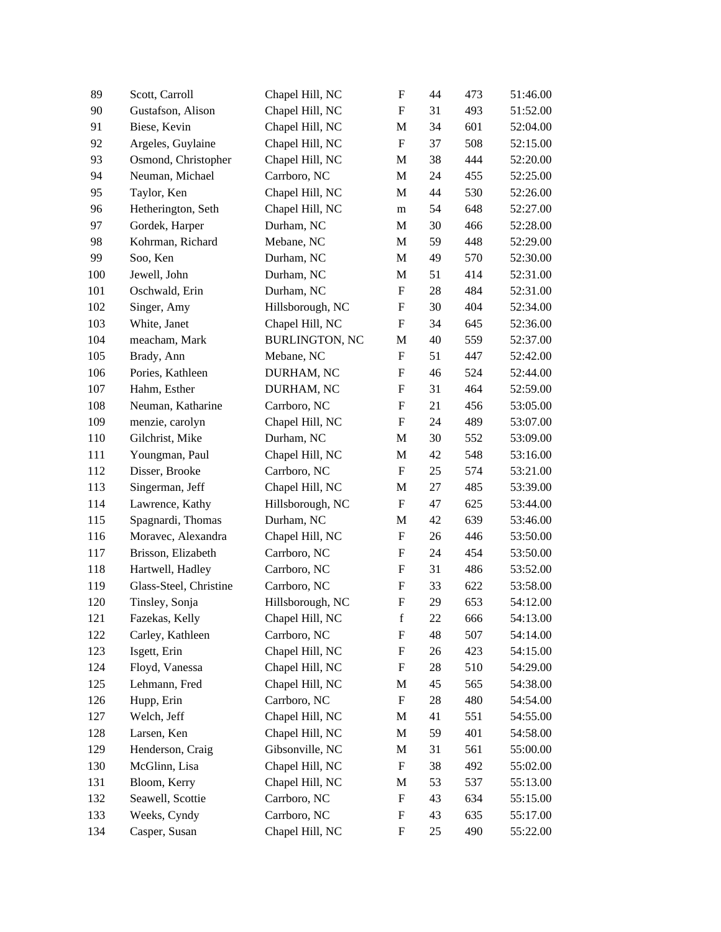| Chapel Hill, NC<br>90<br>Gustafson, Alison<br>493<br>51:52.00<br>F<br>31<br>91<br>Biese, Kevin<br>Chapel Hill, NC<br>601<br>M<br>34<br>52:04.00<br>92<br>Argeles, Guylaine<br>Chapel Hill, NC<br>$\boldsymbol{\mathrm{F}}$<br>508<br>37<br>52:15.00<br>93<br>Osmond, Christopher<br>Chapel Hill, NC<br>444<br>M<br>38<br>52:20.00<br>94<br>Neuman, Michael<br>Carrboro, NC<br>M<br>24<br>455<br>52:25.00<br>Taylor, Ken<br>Chapel Hill, NC<br>95<br>M<br>44<br>530<br>52:26.00<br>Hetherington, Seth<br>Chapel Hill, NC<br>648<br>52:27.00<br>96<br>54<br>m<br>97<br>Gordek, Harper<br>Durham, NC<br>466<br>M<br>30<br>52:28.00<br>Kohrman, Richard<br>Mebane, NC<br>448<br>98<br>M<br>59<br>52:29.00<br>99<br>Soo, Ken<br>Durham, NC<br>49<br>52:30.00<br>M<br>570<br>Jewell, John<br>Durham, NC<br>414<br>52:31.00<br>100<br>M<br>51<br>101<br>Oschwald, Erin<br>Durham, NC<br>$\boldsymbol{\mathrm{F}}$<br>28<br>484<br>52:31.00<br>Singer, Amy<br>Hillsborough, NC<br>404<br>52:34.00<br>102<br>F<br>30<br>White, Janet<br>Chapel Hill, NC<br>103<br>F<br>34<br>645<br>52:36.00<br>104<br><b>BURLINGTON, NC</b><br>559<br>meacham, Mark<br>M<br>40<br>52:37.00<br>Brady, Ann<br>51<br>105<br>Mebane, NC<br>F<br>447<br>52:42.00<br>Pories, Kathleen<br>$\mathbf F$<br>524<br>52:44.00<br>106<br>DURHAM, NC<br>46<br>107<br>Hahm, Esther<br>$\boldsymbol{\mathrm{F}}$<br>31<br>464<br>52:59.00<br>DURHAM, NC<br>Neuman, Katharine<br>Carrboro, NC<br>456<br>108<br>F<br>21<br>53:05.00<br>menzie, carolyn<br>Chapel Hill, NC<br>$\boldsymbol{\mathrm{F}}$<br>489<br>109<br>24<br>53:07.00<br>Gilchrist, Mike<br>Durham, NC<br>110<br>M<br>30<br>552<br>53:09.00<br>Chapel Hill, NC<br>111<br>Youngman, Paul<br>M<br>42<br>548<br>53:16.00<br>Disser, Brooke<br>Carrboro, NC<br>$\boldsymbol{\mathrm{F}}$<br>25<br>112<br>574<br>53:21.00<br>113<br>Singerman, Jeff<br>Chapel Hill, NC<br>485<br>M<br>27<br>53:39.00<br>Lawrence, Kathy<br>Hillsborough, NC<br>$\boldsymbol{\mathrm{F}}$<br>114<br>47<br>625<br>53:44.00<br>Spagnardi, Thomas<br>Durham, NC<br>639<br>115<br>M<br>42<br>53:46.00<br>Moravec, Alexandra<br>Chapel Hill, NC<br>446<br>116<br>F<br>26<br>53:50.00<br>Carrboro, NC<br>$\mathbf F$<br>117<br>Brisson, Elizabeth<br>24<br>454<br>53:50.00<br>Hartwell, Hadley<br>Carrboro, NC<br>F<br>486<br>53:52.00<br>118<br>31<br>Glass-Steel, Christine<br>Carrboro, NC<br>53:58.00<br>F<br>33<br>622<br>119<br>Tinsley, Sonja<br>Hillsborough, NC<br>F<br>29<br>653<br>120<br>54:12.00<br>Fazekas, Kelly<br>Chapel Hill, NC<br>$\mathbf f$<br>22<br>666<br>54:13.00<br>121<br>Carrboro, NC<br>507<br>122<br>Carley, Kathleen<br>F<br>48<br>54:14.00<br>123<br>Isgett, Erin<br>Chapel Hill, NC<br>F<br>423<br>26<br>54:15.00<br>Floyd, Vanessa<br>Chapel Hill, NC<br>510<br>124<br>F<br>28<br>54:29.00<br>Lehmann, Fred<br>Chapel Hill, NC<br>565<br>125<br>M<br>45<br>54:38.00<br>126<br>Hupp, Erin<br>Carrboro, NC<br>$\boldsymbol{\mathrm{F}}$<br>480<br>28<br>54:54.00<br>Welch, Jeff<br>Chapel Hill, NC<br>127<br>M<br>41<br>551<br>54:55.00<br>Chapel Hill, NC<br>401<br>128<br>Larsen, Ken<br>M<br>59<br>54:58.00<br>129<br>Henderson, Craig<br>Gibsonville, NC<br>561<br>M<br>31<br>55:00.00<br>McGlinn, Lisa<br>Chapel Hill, NC<br>492<br>130<br>F<br>38<br>55:02.00<br>131<br>Bloom, Kerry<br>Chapel Hill, NC<br>53<br>537<br>55:13.00<br>M<br>132<br>Seawell, Scottie<br>Carrboro, NC<br>$\boldsymbol{\mathrm{F}}$<br>43<br>634<br>55:15.00<br>Weeks, Cyndy<br>Carrboro, NC<br>133<br>F<br>43<br>635<br>55:17.00<br>Casper, Susan<br>Chapel Hill, NC<br>F<br>490<br>134<br>25<br>55:22.00 | 89 | Scott, Carroll | Chapel Hill, NC | $\boldsymbol{\mathrm{F}}$ | 44 | 473 | 51:46.00 |
|-----------------------------------------------------------------------------------------------------------------------------------------------------------------------------------------------------------------------------------------------------------------------------------------------------------------------------------------------------------------------------------------------------------------------------------------------------------------------------------------------------------------------------------------------------------------------------------------------------------------------------------------------------------------------------------------------------------------------------------------------------------------------------------------------------------------------------------------------------------------------------------------------------------------------------------------------------------------------------------------------------------------------------------------------------------------------------------------------------------------------------------------------------------------------------------------------------------------------------------------------------------------------------------------------------------------------------------------------------------------------------------------------------------------------------------------------------------------------------------------------------------------------------------------------------------------------------------------------------------------------------------------------------------------------------------------------------------------------------------------------------------------------------------------------------------------------------------------------------------------------------------------------------------------------------------------------------------------------------------------------------------------------------------------------------------------------------------------------------------------------------------------------------------------------------------------------------------------------------------------------------------------------------------------------------------------------------------------------------------------------------------------------------------------------------------------------------------------------------------------------------------------------------------------------------------------------------------------------------------------------------------------------------------------------------------------------------------------------------------------------------------------------------------------------------------------------------------------------------------------------------------------------------------------------------------------------------------------------------------------------------------------------------------------------------------------------------------------------------------------------------------------------------------------------------------------------------------------------------------------------------------------------------------------------------------------------------------------------------------------------------------------------------------------------------------------------------------------------------------------------------------------------------------------------------------------------------------------------------------------------|----|----------------|-----------------|---------------------------|----|-----|----------|
|                                                                                                                                                                                                                                                                                                                                                                                                                                                                                                                                                                                                                                                                                                                                                                                                                                                                                                                                                                                                                                                                                                                                                                                                                                                                                                                                                                                                                                                                                                                                                                                                                                                                                                                                                                                                                                                                                                                                                                                                                                                                                                                                                                                                                                                                                                                                                                                                                                                                                                                                                                                                                                                                                                                                                                                                                                                                                                                                                                                                                                                                                                                                                                                                                                                                                                                                                                                                                                                                                                                                                                                                                       |    |                |                 |                           |    |     |          |
|                                                                                                                                                                                                                                                                                                                                                                                                                                                                                                                                                                                                                                                                                                                                                                                                                                                                                                                                                                                                                                                                                                                                                                                                                                                                                                                                                                                                                                                                                                                                                                                                                                                                                                                                                                                                                                                                                                                                                                                                                                                                                                                                                                                                                                                                                                                                                                                                                                                                                                                                                                                                                                                                                                                                                                                                                                                                                                                                                                                                                                                                                                                                                                                                                                                                                                                                                                                                                                                                                                                                                                                                                       |    |                |                 |                           |    |     |          |
|                                                                                                                                                                                                                                                                                                                                                                                                                                                                                                                                                                                                                                                                                                                                                                                                                                                                                                                                                                                                                                                                                                                                                                                                                                                                                                                                                                                                                                                                                                                                                                                                                                                                                                                                                                                                                                                                                                                                                                                                                                                                                                                                                                                                                                                                                                                                                                                                                                                                                                                                                                                                                                                                                                                                                                                                                                                                                                                                                                                                                                                                                                                                                                                                                                                                                                                                                                                                                                                                                                                                                                                                                       |    |                |                 |                           |    |     |          |
|                                                                                                                                                                                                                                                                                                                                                                                                                                                                                                                                                                                                                                                                                                                                                                                                                                                                                                                                                                                                                                                                                                                                                                                                                                                                                                                                                                                                                                                                                                                                                                                                                                                                                                                                                                                                                                                                                                                                                                                                                                                                                                                                                                                                                                                                                                                                                                                                                                                                                                                                                                                                                                                                                                                                                                                                                                                                                                                                                                                                                                                                                                                                                                                                                                                                                                                                                                                                                                                                                                                                                                                                                       |    |                |                 |                           |    |     |          |
|                                                                                                                                                                                                                                                                                                                                                                                                                                                                                                                                                                                                                                                                                                                                                                                                                                                                                                                                                                                                                                                                                                                                                                                                                                                                                                                                                                                                                                                                                                                                                                                                                                                                                                                                                                                                                                                                                                                                                                                                                                                                                                                                                                                                                                                                                                                                                                                                                                                                                                                                                                                                                                                                                                                                                                                                                                                                                                                                                                                                                                                                                                                                                                                                                                                                                                                                                                                                                                                                                                                                                                                                                       |    |                |                 |                           |    |     |          |
|                                                                                                                                                                                                                                                                                                                                                                                                                                                                                                                                                                                                                                                                                                                                                                                                                                                                                                                                                                                                                                                                                                                                                                                                                                                                                                                                                                                                                                                                                                                                                                                                                                                                                                                                                                                                                                                                                                                                                                                                                                                                                                                                                                                                                                                                                                                                                                                                                                                                                                                                                                                                                                                                                                                                                                                                                                                                                                                                                                                                                                                                                                                                                                                                                                                                                                                                                                                                                                                                                                                                                                                                                       |    |                |                 |                           |    |     |          |
|                                                                                                                                                                                                                                                                                                                                                                                                                                                                                                                                                                                                                                                                                                                                                                                                                                                                                                                                                                                                                                                                                                                                                                                                                                                                                                                                                                                                                                                                                                                                                                                                                                                                                                                                                                                                                                                                                                                                                                                                                                                                                                                                                                                                                                                                                                                                                                                                                                                                                                                                                                                                                                                                                                                                                                                                                                                                                                                                                                                                                                                                                                                                                                                                                                                                                                                                                                                                                                                                                                                                                                                                                       |    |                |                 |                           |    |     |          |
|                                                                                                                                                                                                                                                                                                                                                                                                                                                                                                                                                                                                                                                                                                                                                                                                                                                                                                                                                                                                                                                                                                                                                                                                                                                                                                                                                                                                                                                                                                                                                                                                                                                                                                                                                                                                                                                                                                                                                                                                                                                                                                                                                                                                                                                                                                                                                                                                                                                                                                                                                                                                                                                                                                                                                                                                                                                                                                                                                                                                                                                                                                                                                                                                                                                                                                                                                                                                                                                                                                                                                                                                                       |    |                |                 |                           |    |     |          |
|                                                                                                                                                                                                                                                                                                                                                                                                                                                                                                                                                                                                                                                                                                                                                                                                                                                                                                                                                                                                                                                                                                                                                                                                                                                                                                                                                                                                                                                                                                                                                                                                                                                                                                                                                                                                                                                                                                                                                                                                                                                                                                                                                                                                                                                                                                                                                                                                                                                                                                                                                                                                                                                                                                                                                                                                                                                                                                                                                                                                                                                                                                                                                                                                                                                                                                                                                                                                                                                                                                                                                                                                                       |    |                |                 |                           |    |     |          |
|                                                                                                                                                                                                                                                                                                                                                                                                                                                                                                                                                                                                                                                                                                                                                                                                                                                                                                                                                                                                                                                                                                                                                                                                                                                                                                                                                                                                                                                                                                                                                                                                                                                                                                                                                                                                                                                                                                                                                                                                                                                                                                                                                                                                                                                                                                                                                                                                                                                                                                                                                                                                                                                                                                                                                                                                                                                                                                                                                                                                                                                                                                                                                                                                                                                                                                                                                                                                                                                                                                                                                                                                                       |    |                |                 |                           |    |     |          |
|                                                                                                                                                                                                                                                                                                                                                                                                                                                                                                                                                                                                                                                                                                                                                                                                                                                                                                                                                                                                                                                                                                                                                                                                                                                                                                                                                                                                                                                                                                                                                                                                                                                                                                                                                                                                                                                                                                                                                                                                                                                                                                                                                                                                                                                                                                                                                                                                                                                                                                                                                                                                                                                                                                                                                                                                                                                                                                                                                                                                                                                                                                                                                                                                                                                                                                                                                                                                                                                                                                                                                                                                                       |    |                |                 |                           |    |     |          |
|                                                                                                                                                                                                                                                                                                                                                                                                                                                                                                                                                                                                                                                                                                                                                                                                                                                                                                                                                                                                                                                                                                                                                                                                                                                                                                                                                                                                                                                                                                                                                                                                                                                                                                                                                                                                                                                                                                                                                                                                                                                                                                                                                                                                                                                                                                                                                                                                                                                                                                                                                                                                                                                                                                                                                                                                                                                                                                                                                                                                                                                                                                                                                                                                                                                                                                                                                                                                                                                                                                                                                                                                                       |    |                |                 |                           |    |     |          |
|                                                                                                                                                                                                                                                                                                                                                                                                                                                                                                                                                                                                                                                                                                                                                                                                                                                                                                                                                                                                                                                                                                                                                                                                                                                                                                                                                                                                                                                                                                                                                                                                                                                                                                                                                                                                                                                                                                                                                                                                                                                                                                                                                                                                                                                                                                                                                                                                                                                                                                                                                                                                                                                                                                                                                                                                                                                                                                                                                                                                                                                                                                                                                                                                                                                                                                                                                                                                                                                                                                                                                                                                                       |    |                |                 |                           |    |     |          |
|                                                                                                                                                                                                                                                                                                                                                                                                                                                                                                                                                                                                                                                                                                                                                                                                                                                                                                                                                                                                                                                                                                                                                                                                                                                                                                                                                                                                                                                                                                                                                                                                                                                                                                                                                                                                                                                                                                                                                                                                                                                                                                                                                                                                                                                                                                                                                                                                                                                                                                                                                                                                                                                                                                                                                                                                                                                                                                                                                                                                                                                                                                                                                                                                                                                                                                                                                                                                                                                                                                                                                                                                                       |    |                |                 |                           |    |     |          |
|                                                                                                                                                                                                                                                                                                                                                                                                                                                                                                                                                                                                                                                                                                                                                                                                                                                                                                                                                                                                                                                                                                                                                                                                                                                                                                                                                                                                                                                                                                                                                                                                                                                                                                                                                                                                                                                                                                                                                                                                                                                                                                                                                                                                                                                                                                                                                                                                                                                                                                                                                                                                                                                                                                                                                                                                                                                                                                                                                                                                                                                                                                                                                                                                                                                                                                                                                                                                                                                                                                                                                                                                                       |    |                |                 |                           |    |     |          |
|                                                                                                                                                                                                                                                                                                                                                                                                                                                                                                                                                                                                                                                                                                                                                                                                                                                                                                                                                                                                                                                                                                                                                                                                                                                                                                                                                                                                                                                                                                                                                                                                                                                                                                                                                                                                                                                                                                                                                                                                                                                                                                                                                                                                                                                                                                                                                                                                                                                                                                                                                                                                                                                                                                                                                                                                                                                                                                                                                                                                                                                                                                                                                                                                                                                                                                                                                                                                                                                                                                                                                                                                                       |    |                |                 |                           |    |     |          |
|                                                                                                                                                                                                                                                                                                                                                                                                                                                                                                                                                                                                                                                                                                                                                                                                                                                                                                                                                                                                                                                                                                                                                                                                                                                                                                                                                                                                                                                                                                                                                                                                                                                                                                                                                                                                                                                                                                                                                                                                                                                                                                                                                                                                                                                                                                                                                                                                                                                                                                                                                                                                                                                                                                                                                                                                                                                                                                                                                                                                                                                                                                                                                                                                                                                                                                                                                                                                                                                                                                                                                                                                                       |    |                |                 |                           |    |     |          |
|                                                                                                                                                                                                                                                                                                                                                                                                                                                                                                                                                                                                                                                                                                                                                                                                                                                                                                                                                                                                                                                                                                                                                                                                                                                                                                                                                                                                                                                                                                                                                                                                                                                                                                                                                                                                                                                                                                                                                                                                                                                                                                                                                                                                                                                                                                                                                                                                                                                                                                                                                                                                                                                                                                                                                                                                                                                                                                                                                                                                                                                                                                                                                                                                                                                                                                                                                                                                                                                                                                                                                                                                                       |    |                |                 |                           |    |     |          |
|                                                                                                                                                                                                                                                                                                                                                                                                                                                                                                                                                                                                                                                                                                                                                                                                                                                                                                                                                                                                                                                                                                                                                                                                                                                                                                                                                                                                                                                                                                                                                                                                                                                                                                                                                                                                                                                                                                                                                                                                                                                                                                                                                                                                                                                                                                                                                                                                                                                                                                                                                                                                                                                                                                                                                                                                                                                                                                                                                                                                                                                                                                                                                                                                                                                                                                                                                                                                                                                                                                                                                                                                                       |    |                |                 |                           |    |     |          |
|                                                                                                                                                                                                                                                                                                                                                                                                                                                                                                                                                                                                                                                                                                                                                                                                                                                                                                                                                                                                                                                                                                                                                                                                                                                                                                                                                                                                                                                                                                                                                                                                                                                                                                                                                                                                                                                                                                                                                                                                                                                                                                                                                                                                                                                                                                                                                                                                                                                                                                                                                                                                                                                                                                                                                                                                                                                                                                                                                                                                                                                                                                                                                                                                                                                                                                                                                                                                                                                                                                                                                                                                                       |    |                |                 |                           |    |     |          |
|                                                                                                                                                                                                                                                                                                                                                                                                                                                                                                                                                                                                                                                                                                                                                                                                                                                                                                                                                                                                                                                                                                                                                                                                                                                                                                                                                                                                                                                                                                                                                                                                                                                                                                                                                                                                                                                                                                                                                                                                                                                                                                                                                                                                                                                                                                                                                                                                                                                                                                                                                                                                                                                                                                                                                                                                                                                                                                                                                                                                                                                                                                                                                                                                                                                                                                                                                                                                                                                                                                                                                                                                                       |    |                |                 |                           |    |     |          |
|                                                                                                                                                                                                                                                                                                                                                                                                                                                                                                                                                                                                                                                                                                                                                                                                                                                                                                                                                                                                                                                                                                                                                                                                                                                                                                                                                                                                                                                                                                                                                                                                                                                                                                                                                                                                                                                                                                                                                                                                                                                                                                                                                                                                                                                                                                                                                                                                                                                                                                                                                                                                                                                                                                                                                                                                                                                                                                                                                                                                                                                                                                                                                                                                                                                                                                                                                                                                                                                                                                                                                                                                                       |    |                |                 |                           |    |     |          |
|                                                                                                                                                                                                                                                                                                                                                                                                                                                                                                                                                                                                                                                                                                                                                                                                                                                                                                                                                                                                                                                                                                                                                                                                                                                                                                                                                                                                                                                                                                                                                                                                                                                                                                                                                                                                                                                                                                                                                                                                                                                                                                                                                                                                                                                                                                                                                                                                                                                                                                                                                                                                                                                                                                                                                                                                                                                                                                                                                                                                                                                                                                                                                                                                                                                                                                                                                                                                                                                                                                                                                                                                                       |    |                |                 |                           |    |     |          |
|                                                                                                                                                                                                                                                                                                                                                                                                                                                                                                                                                                                                                                                                                                                                                                                                                                                                                                                                                                                                                                                                                                                                                                                                                                                                                                                                                                                                                                                                                                                                                                                                                                                                                                                                                                                                                                                                                                                                                                                                                                                                                                                                                                                                                                                                                                                                                                                                                                                                                                                                                                                                                                                                                                                                                                                                                                                                                                                                                                                                                                                                                                                                                                                                                                                                                                                                                                                                                                                                                                                                                                                                                       |    |                |                 |                           |    |     |          |
|                                                                                                                                                                                                                                                                                                                                                                                                                                                                                                                                                                                                                                                                                                                                                                                                                                                                                                                                                                                                                                                                                                                                                                                                                                                                                                                                                                                                                                                                                                                                                                                                                                                                                                                                                                                                                                                                                                                                                                                                                                                                                                                                                                                                                                                                                                                                                                                                                                                                                                                                                                                                                                                                                                                                                                                                                                                                                                                                                                                                                                                                                                                                                                                                                                                                                                                                                                                                                                                                                                                                                                                                                       |    |                |                 |                           |    |     |          |
|                                                                                                                                                                                                                                                                                                                                                                                                                                                                                                                                                                                                                                                                                                                                                                                                                                                                                                                                                                                                                                                                                                                                                                                                                                                                                                                                                                                                                                                                                                                                                                                                                                                                                                                                                                                                                                                                                                                                                                                                                                                                                                                                                                                                                                                                                                                                                                                                                                                                                                                                                                                                                                                                                                                                                                                                                                                                                                                                                                                                                                                                                                                                                                                                                                                                                                                                                                                                                                                                                                                                                                                                                       |    |                |                 |                           |    |     |          |
|                                                                                                                                                                                                                                                                                                                                                                                                                                                                                                                                                                                                                                                                                                                                                                                                                                                                                                                                                                                                                                                                                                                                                                                                                                                                                                                                                                                                                                                                                                                                                                                                                                                                                                                                                                                                                                                                                                                                                                                                                                                                                                                                                                                                                                                                                                                                                                                                                                                                                                                                                                                                                                                                                                                                                                                                                                                                                                                                                                                                                                                                                                                                                                                                                                                                                                                                                                                                                                                                                                                                                                                                                       |    |                |                 |                           |    |     |          |
|                                                                                                                                                                                                                                                                                                                                                                                                                                                                                                                                                                                                                                                                                                                                                                                                                                                                                                                                                                                                                                                                                                                                                                                                                                                                                                                                                                                                                                                                                                                                                                                                                                                                                                                                                                                                                                                                                                                                                                                                                                                                                                                                                                                                                                                                                                                                                                                                                                                                                                                                                                                                                                                                                                                                                                                                                                                                                                                                                                                                                                                                                                                                                                                                                                                                                                                                                                                                                                                                                                                                                                                                                       |    |                |                 |                           |    |     |          |
|                                                                                                                                                                                                                                                                                                                                                                                                                                                                                                                                                                                                                                                                                                                                                                                                                                                                                                                                                                                                                                                                                                                                                                                                                                                                                                                                                                                                                                                                                                                                                                                                                                                                                                                                                                                                                                                                                                                                                                                                                                                                                                                                                                                                                                                                                                                                                                                                                                                                                                                                                                                                                                                                                                                                                                                                                                                                                                                                                                                                                                                                                                                                                                                                                                                                                                                                                                                                                                                                                                                                                                                                                       |    |                |                 |                           |    |     |          |
|                                                                                                                                                                                                                                                                                                                                                                                                                                                                                                                                                                                                                                                                                                                                                                                                                                                                                                                                                                                                                                                                                                                                                                                                                                                                                                                                                                                                                                                                                                                                                                                                                                                                                                                                                                                                                                                                                                                                                                                                                                                                                                                                                                                                                                                                                                                                                                                                                                                                                                                                                                                                                                                                                                                                                                                                                                                                                                                                                                                                                                                                                                                                                                                                                                                                                                                                                                                                                                                                                                                                                                                                                       |    |                |                 |                           |    |     |          |
|                                                                                                                                                                                                                                                                                                                                                                                                                                                                                                                                                                                                                                                                                                                                                                                                                                                                                                                                                                                                                                                                                                                                                                                                                                                                                                                                                                                                                                                                                                                                                                                                                                                                                                                                                                                                                                                                                                                                                                                                                                                                                                                                                                                                                                                                                                                                                                                                                                                                                                                                                                                                                                                                                                                                                                                                                                                                                                                                                                                                                                                                                                                                                                                                                                                                                                                                                                                                                                                                                                                                                                                                                       |    |                |                 |                           |    |     |          |
|                                                                                                                                                                                                                                                                                                                                                                                                                                                                                                                                                                                                                                                                                                                                                                                                                                                                                                                                                                                                                                                                                                                                                                                                                                                                                                                                                                                                                                                                                                                                                                                                                                                                                                                                                                                                                                                                                                                                                                                                                                                                                                                                                                                                                                                                                                                                                                                                                                                                                                                                                                                                                                                                                                                                                                                                                                                                                                                                                                                                                                                                                                                                                                                                                                                                                                                                                                                                                                                                                                                                                                                                                       |    |                |                 |                           |    |     |          |
|                                                                                                                                                                                                                                                                                                                                                                                                                                                                                                                                                                                                                                                                                                                                                                                                                                                                                                                                                                                                                                                                                                                                                                                                                                                                                                                                                                                                                                                                                                                                                                                                                                                                                                                                                                                                                                                                                                                                                                                                                                                                                                                                                                                                                                                                                                                                                                                                                                                                                                                                                                                                                                                                                                                                                                                                                                                                                                                                                                                                                                                                                                                                                                                                                                                                                                                                                                                                                                                                                                                                                                                                                       |    |                |                 |                           |    |     |          |
|                                                                                                                                                                                                                                                                                                                                                                                                                                                                                                                                                                                                                                                                                                                                                                                                                                                                                                                                                                                                                                                                                                                                                                                                                                                                                                                                                                                                                                                                                                                                                                                                                                                                                                                                                                                                                                                                                                                                                                                                                                                                                                                                                                                                                                                                                                                                                                                                                                                                                                                                                                                                                                                                                                                                                                                                                                                                                                                                                                                                                                                                                                                                                                                                                                                                                                                                                                                                                                                                                                                                                                                                                       |    |                |                 |                           |    |     |          |
|                                                                                                                                                                                                                                                                                                                                                                                                                                                                                                                                                                                                                                                                                                                                                                                                                                                                                                                                                                                                                                                                                                                                                                                                                                                                                                                                                                                                                                                                                                                                                                                                                                                                                                                                                                                                                                                                                                                                                                                                                                                                                                                                                                                                                                                                                                                                                                                                                                                                                                                                                                                                                                                                                                                                                                                                                                                                                                                                                                                                                                                                                                                                                                                                                                                                                                                                                                                                                                                                                                                                                                                                                       |    |                |                 |                           |    |     |          |
|                                                                                                                                                                                                                                                                                                                                                                                                                                                                                                                                                                                                                                                                                                                                                                                                                                                                                                                                                                                                                                                                                                                                                                                                                                                                                                                                                                                                                                                                                                                                                                                                                                                                                                                                                                                                                                                                                                                                                                                                                                                                                                                                                                                                                                                                                                                                                                                                                                                                                                                                                                                                                                                                                                                                                                                                                                                                                                                                                                                                                                                                                                                                                                                                                                                                                                                                                                                                                                                                                                                                                                                                                       |    |                |                 |                           |    |     |          |
|                                                                                                                                                                                                                                                                                                                                                                                                                                                                                                                                                                                                                                                                                                                                                                                                                                                                                                                                                                                                                                                                                                                                                                                                                                                                                                                                                                                                                                                                                                                                                                                                                                                                                                                                                                                                                                                                                                                                                                                                                                                                                                                                                                                                                                                                                                                                                                                                                                                                                                                                                                                                                                                                                                                                                                                                                                                                                                                                                                                                                                                                                                                                                                                                                                                                                                                                                                                                                                                                                                                                                                                                                       |    |                |                 |                           |    |     |          |
|                                                                                                                                                                                                                                                                                                                                                                                                                                                                                                                                                                                                                                                                                                                                                                                                                                                                                                                                                                                                                                                                                                                                                                                                                                                                                                                                                                                                                                                                                                                                                                                                                                                                                                                                                                                                                                                                                                                                                                                                                                                                                                                                                                                                                                                                                                                                                                                                                                                                                                                                                                                                                                                                                                                                                                                                                                                                                                                                                                                                                                                                                                                                                                                                                                                                                                                                                                                                                                                                                                                                                                                                                       |    |                |                 |                           |    |     |          |
|                                                                                                                                                                                                                                                                                                                                                                                                                                                                                                                                                                                                                                                                                                                                                                                                                                                                                                                                                                                                                                                                                                                                                                                                                                                                                                                                                                                                                                                                                                                                                                                                                                                                                                                                                                                                                                                                                                                                                                                                                                                                                                                                                                                                                                                                                                                                                                                                                                                                                                                                                                                                                                                                                                                                                                                                                                                                                                                                                                                                                                                                                                                                                                                                                                                                                                                                                                                                                                                                                                                                                                                                                       |    |                |                 |                           |    |     |          |
|                                                                                                                                                                                                                                                                                                                                                                                                                                                                                                                                                                                                                                                                                                                                                                                                                                                                                                                                                                                                                                                                                                                                                                                                                                                                                                                                                                                                                                                                                                                                                                                                                                                                                                                                                                                                                                                                                                                                                                                                                                                                                                                                                                                                                                                                                                                                                                                                                                                                                                                                                                                                                                                                                                                                                                                                                                                                                                                                                                                                                                                                                                                                                                                                                                                                                                                                                                                                                                                                                                                                                                                                                       |    |                |                 |                           |    |     |          |
|                                                                                                                                                                                                                                                                                                                                                                                                                                                                                                                                                                                                                                                                                                                                                                                                                                                                                                                                                                                                                                                                                                                                                                                                                                                                                                                                                                                                                                                                                                                                                                                                                                                                                                                                                                                                                                                                                                                                                                                                                                                                                                                                                                                                                                                                                                                                                                                                                                                                                                                                                                                                                                                                                                                                                                                                                                                                                                                                                                                                                                                                                                                                                                                                                                                                                                                                                                                                                                                                                                                                                                                                                       |    |                |                 |                           |    |     |          |
|                                                                                                                                                                                                                                                                                                                                                                                                                                                                                                                                                                                                                                                                                                                                                                                                                                                                                                                                                                                                                                                                                                                                                                                                                                                                                                                                                                                                                                                                                                                                                                                                                                                                                                                                                                                                                                                                                                                                                                                                                                                                                                                                                                                                                                                                                                                                                                                                                                                                                                                                                                                                                                                                                                                                                                                                                                                                                                                                                                                                                                                                                                                                                                                                                                                                                                                                                                                                                                                                                                                                                                                                                       |    |                |                 |                           |    |     |          |
|                                                                                                                                                                                                                                                                                                                                                                                                                                                                                                                                                                                                                                                                                                                                                                                                                                                                                                                                                                                                                                                                                                                                                                                                                                                                                                                                                                                                                                                                                                                                                                                                                                                                                                                                                                                                                                                                                                                                                                                                                                                                                                                                                                                                                                                                                                                                                                                                                                                                                                                                                                                                                                                                                                                                                                                                                                                                                                                                                                                                                                                                                                                                                                                                                                                                                                                                                                                                                                                                                                                                                                                                                       |    |                |                 |                           |    |     |          |
|                                                                                                                                                                                                                                                                                                                                                                                                                                                                                                                                                                                                                                                                                                                                                                                                                                                                                                                                                                                                                                                                                                                                                                                                                                                                                                                                                                                                                                                                                                                                                                                                                                                                                                                                                                                                                                                                                                                                                                                                                                                                                                                                                                                                                                                                                                                                                                                                                                                                                                                                                                                                                                                                                                                                                                                                                                                                                                                                                                                                                                                                                                                                                                                                                                                                                                                                                                                                                                                                                                                                                                                                                       |    |                |                 |                           |    |     |          |
|                                                                                                                                                                                                                                                                                                                                                                                                                                                                                                                                                                                                                                                                                                                                                                                                                                                                                                                                                                                                                                                                                                                                                                                                                                                                                                                                                                                                                                                                                                                                                                                                                                                                                                                                                                                                                                                                                                                                                                                                                                                                                                                                                                                                                                                                                                                                                                                                                                                                                                                                                                                                                                                                                                                                                                                                                                                                                                                                                                                                                                                                                                                                                                                                                                                                                                                                                                                                                                                                                                                                                                                                                       |    |                |                 |                           |    |     |          |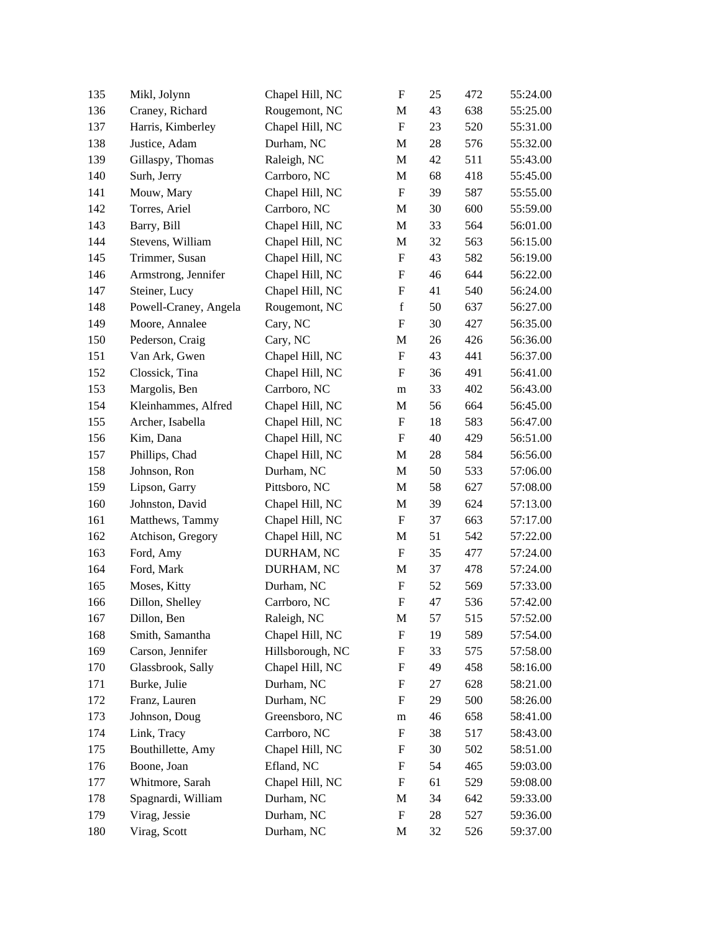| 135 | Mikl, Jolynn          | Chapel Hill, NC  | $\boldsymbol{\mathrm{F}}$ | 25 | 472 | 55:24.00 |
|-----|-----------------------|------------------|---------------------------|----|-----|----------|
| 136 | Craney, Richard       | Rougemont, NC    | M                         | 43 | 638 | 55:25.00 |
| 137 | Harris, Kimberley     | Chapel Hill, NC  | $\boldsymbol{\mathrm{F}}$ | 23 | 520 | 55:31.00 |
| 138 | Justice, Adam         | Durham, NC       | M                         | 28 | 576 | 55:32.00 |
| 139 | Gillaspy, Thomas      | Raleigh, NC      | M                         | 42 | 511 | 55:43.00 |
| 140 | Surh, Jerry           | Carrboro, NC     | M                         | 68 | 418 | 55:45.00 |
| 141 | Mouw, Mary            | Chapel Hill, NC  | $\boldsymbol{\mathrm{F}}$ | 39 | 587 | 55:55.00 |
| 142 | Torres, Ariel         | Carrboro, NC     | M                         | 30 | 600 | 55:59.00 |
| 143 | Barry, Bill           | Chapel Hill, NC  | M                         | 33 | 564 | 56:01.00 |
| 144 | Stevens, William      | Chapel Hill, NC  | M                         | 32 | 563 | 56:15.00 |
| 145 | Trimmer, Susan        | Chapel Hill, NC  | F                         | 43 | 582 | 56:19.00 |
| 146 | Armstrong, Jennifer   | Chapel Hill, NC  | $\mathbf F$               | 46 | 644 | 56:22.00 |
| 147 | Steiner, Lucy         | Chapel Hill, NC  | $\boldsymbol{\mathrm{F}}$ | 41 | 540 | 56:24.00 |
| 148 | Powell-Craney, Angela | Rougemont, NC    | $\mathbf f$               | 50 | 637 | 56:27.00 |
| 149 | Moore, Annalee        | Cary, NC         | $\boldsymbol{\mathrm{F}}$ | 30 | 427 | 56:35.00 |
| 150 | Pederson, Craig       | Cary, NC         | M                         | 26 | 426 | 56:36.00 |
| 151 | Van Ark, Gwen         | Chapel Hill, NC  | $\boldsymbol{\mathrm{F}}$ | 43 | 441 | 56:37.00 |
| 152 | Clossick, Tina        | Chapel Hill, NC  | $\mathbf F$               | 36 | 491 | 56:41.00 |
| 153 | Margolis, Ben         | Carrboro, NC     | m                         | 33 | 402 | 56:43.00 |
| 154 | Kleinhammes, Alfred   | Chapel Hill, NC  | M                         | 56 | 664 | 56:45.00 |
| 155 | Archer, Isabella      | Chapel Hill, NC  | F                         | 18 | 583 | 56:47.00 |
| 156 | Kim, Dana             | Chapel Hill, NC  | F                         | 40 | 429 | 56:51.00 |
| 157 | Phillips, Chad        | Chapel Hill, NC  | M                         | 28 | 584 | 56:56.00 |
| 158 | Johnson, Ron          | Durham, NC       | M                         | 50 | 533 | 57:06.00 |
| 159 | Lipson, Garry         | Pittsboro, NC    | M                         | 58 | 627 | 57:08.00 |
| 160 | Johnston, David       | Chapel Hill, NC  | M                         | 39 | 624 | 57:13.00 |
| 161 | Matthews, Tammy       | Chapel Hill, NC  | F                         | 37 | 663 | 57:17.00 |
| 162 | Atchison, Gregory     | Chapel Hill, NC  | M                         | 51 | 542 | 57:22.00 |
| 163 | Ford, Amy             | DURHAM, NC       | $\boldsymbol{\mathrm{F}}$ | 35 | 477 | 57:24.00 |
| 164 | Ford, Mark            | DURHAM, NC       | M                         | 37 | 478 | 57:24.00 |
| 165 | Moses, Kitty          | Durham, NC       | F                         | 52 | 569 | 57:33.00 |
| 166 | Dillon, Shelley       | Carrboro, NC     | ${\bf F}$                 | 47 | 536 | 57:42.00 |
| 167 | Dillon, Ben           | Raleigh, NC      | $\mathbf M$               | 57 | 515 | 57:52.00 |
| 168 | Smith, Samantha       | Chapel Hill, NC  | F                         | 19 | 589 | 57:54.00 |
| 169 | Carson, Jennifer      | Hillsborough, NC | $\mathbf F$               | 33 | 575 | 57:58.00 |
| 170 | Glassbrook, Sally     | Chapel Hill, NC  | F                         | 49 | 458 | 58:16.00 |
| 171 | Burke, Julie          | Durham, NC       | F                         | 27 | 628 | 58:21.00 |
| 172 | Franz, Lauren         | Durham, NC       | $\boldsymbol{\mathrm{F}}$ | 29 | 500 | 58:26.00 |
| 173 | Johnson, Doug         | Greensboro, NC   | m                         | 46 | 658 | 58:41.00 |
| 174 | Link, Tracy           | Carrboro, NC     | F                         | 38 | 517 | 58:43.00 |
| 175 | Bouthillette, Amy     | Chapel Hill, NC  | F                         | 30 | 502 | 58:51.00 |
| 176 | Boone, Joan           | Efland, NC       | F                         | 54 | 465 | 59:03.00 |
| 177 | Whitmore, Sarah       | Chapel Hill, NC  | F                         | 61 | 529 | 59:08.00 |
| 178 | Spagnardi, William    | Durham, NC       | M                         | 34 | 642 | 59:33.00 |
| 179 | Virag, Jessie         | Durham, NC       | $\boldsymbol{\mathrm{F}}$ | 28 | 527 | 59:36.00 |
| 180 | Virag, Scott          | Durham, NC       | M                         | 32 | 526 | 59:37.00 |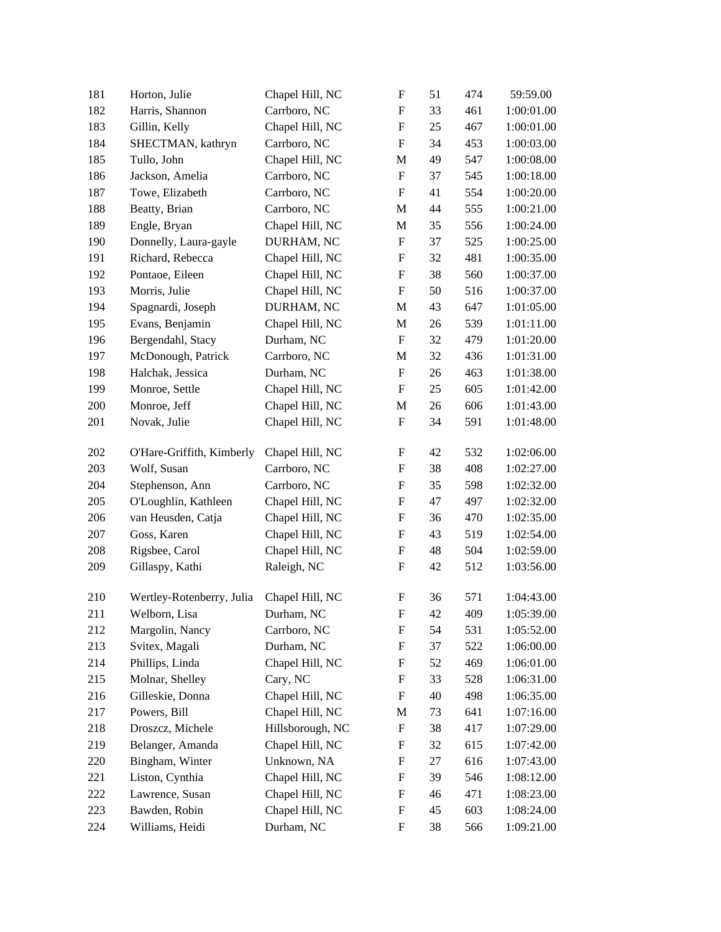| 181 | Horton, Julie             | Chapel Hill, NC  | $\boldsymbol{\mathrm{F}}$ | 51 | 474 | 59:59.00   |
|-----|---------------------------|------------------|---------------------------|----|-----|------------|
| 182 | Harris, Shannon           | Carrboro, NC     | $\boldsymbol{\mathrm{F}}$ | 33 | 461 | 1:00:01.00 |
| 183 | Gillin, Kelly             | Chapel Hill, NC  | $\boldsymbol{\mathrm{F}}$ | 25 | 467 | 1:00:01.00 |
| 184 | SHECTMAN, kathryn         | Carrboro, NC     | $\boldsymbol{\mathrm{F}}$ | 34 | 453 | 1:00:03.00 |
| 185 | Tullo, John               | Chapel Hill, NC  | M                         | 49 | 547 | 1:00:08.00 |
| 186 | Jackson, Amelia           | Carrboro, NC     | $\boldsymbol{\mathrm{F}}$ | 37 | 545 | 1:00:18.00 |
| 187 | Towe, Elizabeth           | Carrboro, NC     | $\boldsymbol{\mathrm{F}}$ | 41 | 554 | 1:00:20.00 |
| 188 | Beatty, Brian             | Carrboro, NC     | M                         | 44 | 555 | 1:00:21.00 |
| 189 | Engle, Bryan              | Chapel Hill, NC  | M                         | 35 | 556 | 1:00:24.00 |
| 190 | Donnelly, Laura-gayle     | DURHAM, NC       | $\boldsymbol{\mathrm{F}}$ | 37 | 525 | 1:00:25.00 |
| 191 | Richard, Rebecca          | Chapel Hill, NC  | F                         | 32 | 481 | 1:00:35.00 |
| 192 | Pontaoe, Eileen           | Chapel Hill, NC  | $\boldsymbol{\mathrm{F}}$ | 38 | 560 | 1:00:37.00 |
| 193 | Morris, Julie             | Chapel Hill, NC  | $\boldsymbol{\mathrm{F}}$ | 50 | 516 | 1:00:37.00 |
| 194 | Spagnardi, Joseph         | DURHAM, NC       | M                         | 43 | 647 | 1:01:05.00 |
| 195 | Evans, Benjamin           | Chapel Hill, NC  | M                         | 26 | 539 | 1:01:11.00 |
| 196 | Bergendahl, Stacy         | Durham, NC       | $\boldsymbol{\mathrm{F}}$ | 32 | 479 | 1:01:20.00 |
| 197 | McDonough, Patrick        | Carrboro, NC     | M                         | 32 | 436 | 1:01:31.00 |
| 198 | Halchak, Jessica          | Durham, NC       | $\boldsymbol{\mathrm{F}}$ | 26 | 463 | 1:01:38.00 |
| 199 | Monroe, Settle            | Chapel Hill, NC  | $\boldsymbol{\mathrm{F}}$ | 25 | 605 | 1:01:42.00 |
| 200 | Monroe, Jeff              | Chapel Hill, NC  | M                         | 26 | 606 | 1:01:43.00 |
| 201 | Novak, Julie              | Chapel Hill, NC  | $\boldsymbol{\mathrm{F}}$ | 34 | 591 | 1:01:48.00 |
| 202 | O'Hare-Griffith, Kimberly | Chapel Hill, NC  | F                         | 42 | 532 | 1:02:06.00 |
| 203 | Wolf, Susan               | Carrboro, NC     | $\boldsymbol{\mathrm{F}}$ | 38 | 408 | 1:02:27.00 |
| 204 | Stephenson, Ann           | Carrboro, NC     | $\boldsymbol{\mathrm{F}}$ | 35 | 598 | 1:02:32.00 |
| 205 | O'Loughlin, Kathleen      | Chapel Hill, NC  | $\boldsymbol{\mathrm{F}}$ | 47 | 497 | 1:02:32.00 |
| 206 | van Heusden, Catja        | Chapel Hill, NC  | $\boldsymbol{\mathrm{F}}$ | 36 | 470 | 1:02:35.00 |
| 207 | Goss, Karen               | Chapel Hill, NC  | $\boldsymbol{\mathrm{F}}$ | 43 | 519 | 1:02:54.00 |
| 208 | Rigsbee, Carol            | Chapel Hill, NC  | $\boldsymbol{\mathrm{F}}$ | 48 | 504 | 1:02:59.00 |
| 209 | Gillaspy, Kathi           | Raleigh, NC      | $\boldsymbol{\mathrm{F}}$ | 42 | 512 | 1:03:56.00 |
| 210 | Wertley-Rotenberry, Julia | Chapel Hill, NC  | F                         | 36 | 571 | 1:04:43.00 |
| 211 | Welborn, Lisa             | Durham, NC       | F                         | 42 | 409 | 1:05:39.00 |
| 212 | Margolin, Nancy           | Carrboro, NC     | F                         | 54 | 531 | 1:05:52.00 |
| 213 | Svitex, Magali            | Durham, NC       | F                         | 37 | 522 | 1:06:00.00 |
| 214 | Phillips, Linda           | Chapel Hill, NC  | $\boldsymbol{\mathrm{F}}$ | 52 | 469 | 1:06:01.00 |
| 215 | Molnar, Shelley           | Cary, NC         | $\boldsymbol{\mathrm{F}}$ | 33 | 528 | 1:06:31.00 |
| 216 | Gilleskie, Donna          | Chapel Hill, NC  | F                         | 40 | 498 | 1:06:35.00 |
| 217 | Powers, Bill              | Chapel Hill, NC  | M                         | 73 | 641 | 1:07:16.00 |
| 218 | Droszcz, Michele          | Hillsborough, NC | $\boldsymbol{\mathrm{F}}$ | 38 | 417 | 1:07:29.00 |
| 219 | Belanger, Amanda          | Chapel Hill, NC  | F                         | 32 | 615 | 1:07:42.00 |
| 220 | Bingham, Winter           | Unknown, NA      | F                         | 27 | 616 | 1:07:43.00 |
| 221 | Liston, Cynthia           | Chapel Hill, NC  | F                         | 39 | 546 | 1:08:12.00 |
| 222 | Lawrence, Susan           | Chapel Hill, NC  | $\boldsymbol{\mathrm{F}}$ | 46 | 471 | 1:08:23.00 |
| 223 | Bawden, Robin             | Chapel Hill, NC  | F                         | 45 | 603 | 1:08:24.00 |
| 224 | Williams, Heidi           | Durham, NC       | F                         | 38 | 566 | 1:09:21.00 |